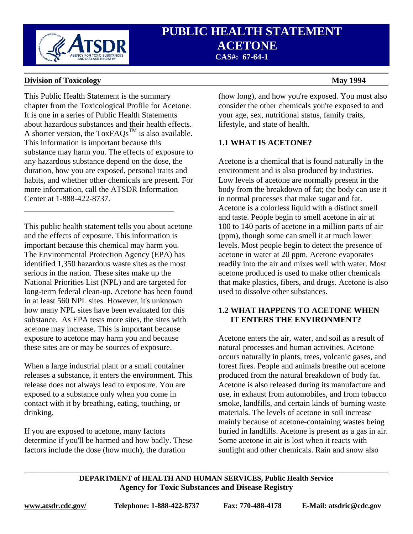

This Public Health Statement is the summary chapter from the Toxicological Profile for Acetone. It is one in a series of Public Health Statements about hazardous substances and their health effects. A shorter version, the ToxFAQs<sup>TM</sup> is also available. This information is important because this substance may harm you. The effects of exposure to any hazardous substance depend on the dose, the duration, how you are exposed, personal traits and habits, and whether other chemicals are present. For more information, call the ATSDR Information Center at 1-888-422-8737.

\_\_\_\_\_\_\_\_\_\_\_\_\_\_\_\_\_\_\_\_\_\_\_\_\_\_\_\_\_\_\_\_\_\_\_\_\_

This public health statement tells you about acetone and the effects of exposure. This information is important because this chemical may harm you. The Environmental Protection Agency (EPA) has identified 1,350 hazardous waste sites as the most serious in the nation. These sites make up the National Priorities List (NPL) and are targeted for long-term federal clean-up. Acetone has been found in at least 560 NPL sites. However, it's unknown how many NPL sites have been evaluated for this substance. As EPA tests more sites, the sites with acetone may increase. This is important because exposure to acetone may harm you and because these sites are or may be sources of exposure.

When a large industrial plant or a small container releases a substance, it enters the environment. This release does not always lead to exposure. You are exposed to a substance only when you come in contact with it by breathing, eating, touching, or drinking.

If you are exposed to acetone, many factors determine if you'll be harmed and how badly. These factors include the dose (how much), the duration

(how long), and how you're exposed. You must also consider the other chemicals you're exposed to and your age, sex, nutritional status, family traits, lifestyle, and state of health.

# **1.1 WHAT IS ACETONE?**

Acetone is a chemical that is found naturally in the environment and is also produced by industries. Low levels of acetone are normally present in the body from the breakdown of fat; the body can use it in normal processes that make sugar and fat. Acetone is a colorless liquid with a distinct smell and taste. People begin to smell acetone in air at 100 to 140 parts of acetone in a million parts of air (ppm), though some can smell it at much lower levels. Most people begin to detect the presence of acetone in water at 20 ppm. Acetone evaporates readily into the air and mixes well with water. Most acetone produced is used to make other chemicals that make plastics, fibers, and drugs. Acetone is also used to dissolve other substances.

# **1.2 WHAT HAPPENS TO ACETONE WHEN IT ENTERS THE ENVIRONMENT?**

Acetone enters the air, water, and soil as a result of natural processes and human activities. Acetone occurs naturally in plants, trees, volcanic gases, and forest fires. People and animals breathe out acetone produced from the natural breakdown of body fat. Acetone is also released during its manufacture and use, in exhaust from automobiles, and from tobacco smoke, landfills, and certain kinds of burning waste materials. The levels of acetone in soil increase mainly because of acetone-containing wastes being buried in landfills. Acetone is present as a gas in air. Some acetone in air is lost when it reacts with sunlight and other chemicals. Rain and snow also

**DEPARTMENT of HEALTH AND HUMAN SERVICES, Public Health Service Agency for Toxic Substances and Disease Registry** 

\_\_\_\_\_\_\_\_\_\_\_\_\_\_\_\_\_\_\_\_\_\_\_\_\_\_\_\_\_\_\_\_\_\_\_\_\_\_\_\_\_\_\_\_\_\_\_\_\_\_\_\_\_\_\_\_\_\_\_\_\_\_\_\_\_\_\_\_\_\_\_\_\_\_\_\_\_\_\_\_\_\_\_\_\_\_\_\_\_\_

www.atsdr.cdc.gov/

**www.atsdr.cdc.gov/ Telephone: 1-888-422-8737 Fax: 770-488-4178 E-Mail: atsdric@cdc.gov**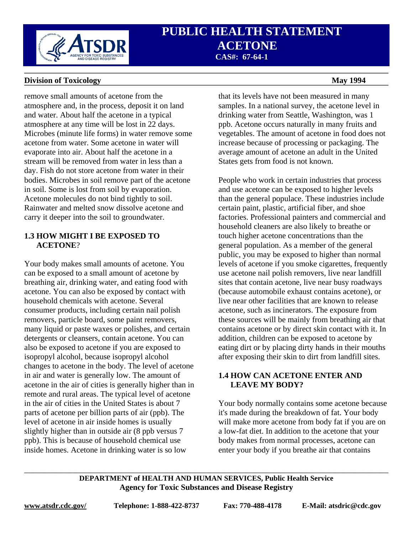

remove small amounts of acetone from the atmosphere and, in the process, deposit it on land and water. About half the acetone in a typical atmosphere at any time will be lost in 22 days. Microbes (minute life forms) in water remove some acetone from water. Some acetone in water will evaporate into air. About half the acetone in a stream will be removed from water in less than a day. Fish do not store acetone from water in their bodies. Microbes in soil remove part of the acetone in soil. Some is lost from soil by evaporation. Acetone molecules do not bind tightly to soil. Rainwater and melted snow dissolve acetone and carry it deeper into the soil to groundwater.

# **1.3 HOW MIGHT I BE EXPOSED TO ACETONE**?

Your body makes small amounts of acetone. You can be exposed to a small amount of acetone by breathing air, drinking water, and eating food with acetone. You can also be exposed by contact with household chemicals with acetone. Several consumer products, including certain nail polish removers, particle board, some paint removers, many liquid or paste waxes or polishes, and certain detergents or cleansers, contain acetone. You can also be exposed to acetone if you are exposed to isopropyl alcohol, because isopropyl alcohol changes to acetone in the body. The level of acetone in air and water is generally low. The amount of acetone in the air of cities is generally higher than in remote and rural areas. The typical level of acetone in the air of cities in the United States is about 7 parts of acetone per billion parts of air (ppb). The level of acetone in air inside homes is usually slightly higher than in outside air (8 ppb versus 7 ppb). This is because of household chemical use inside homes. Acetone in drinking water is so low

that its levels have not been measured in many samples. In a national survey, the acetone level in drinking water from Seattle, Washington, was 1 ppb. Acetone occurs naturally in many fruits and vegetables. The amount of acetone in food does not increase because of processing or packaging. The average amount of acetone an adult in the United States gets from food is not known.

 after exposing their skin to dirt from landfill sites. People who work in certain industries that process and use acetone can be exposed to higher levels than the general populace. These industries include certain paint, plastic, artificial fiber, and shoe factories. Professional painters and commercial and household cleaners are also likely to breathe or touch higher acetone concentrations than the general population. As a member of the general public, you may be exposed to higher than normal levels of acetone if you smoke cigarettes, frequently use acetone nail polish removers, live near landfill sites that contain acetone, live near busy roadways (because automobile exhaust contains acetone), or live near other facilities that are known to release acetone, such as incinerators. The exposure from these sources will be mainly from breathing air that contains acetone or by direct skin contact with it. In addition, children can be exposed to acetone by eating dirt or by placing dirty hands in their mouths

# **1.4 HOW CAN ACETONE ENTER AND LEAVE MY BODY?**

Your body normally contains some acetone because it's made during the breakdown of fat. Your body will make more acetone from body fat if you are on a low-fat diet. In addition to the acetone that your body makes from normal processes, acetone can enter your body if you breathe air that contains

### \_\_\_\_\_\_\_\_\_\_\_\_\_\_\_\_\_\_\_\_\_\_\_\_\_\_\_\_\_\_\_\_\_\_\_\_\_\_\_\_\_\_\_\_\_\_\_\_\_\_\_\_\_\_\_\_\_\_\_\_\_\_\_\_\_\_\_\_\_\_\_\_\_\_\_\_\_\_\_\_\_\_\_\_\_\_\_\_\_\_ **DEPARTMENT of HEALTH AND HUMAN SERVICES, Public Health Service Agency for Toxic Substances and Disease Registry**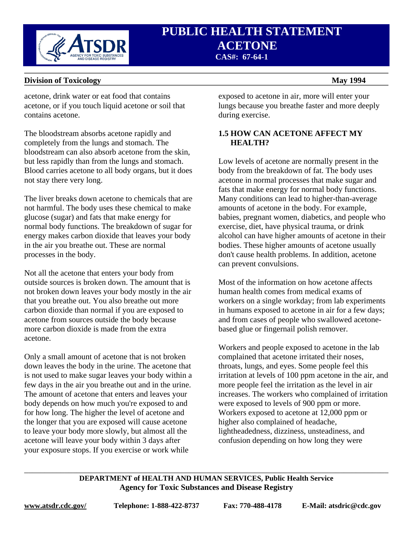

acetone, drink water or eat food that contains acetone, or if you touch liquid acetone or soil that contains acetone.

The bloodstream absorbs acetone rapidly and completely from the lungs and stomach. The bloodstream can also absorb acetone from the skin, but less rapidly than from the lungs and stomach. Blood carries acetone to all body organs, but it does not stay there very long.

The liver breaks down acetone to chemicals that are not harmful. The body uses these chemical to make glucose (sugar) and fats that make energy for normal body functions. The breakdown of sugar for energy makes carbon dioxide that leaves your body in the air you breathe out. These are normal processes in the body.

Not all the acetone that enters your body from outside sources is broken down. The amount that is not broken down leaves your body mostly in the air that you breathe out. You also breathe out more carbon dioxide than normal if you are exposed to acetone from sources outside the body because more carbon dioxide is made from the extra acetone.

Only a small amount of acetone that is not broken down leaves the body in the urine. The acetone that is not used to make sugar leaves your body within a few days in the air you breathe out and in the urine. The amount of acetone that enters and leaves your body depends on how much you're exposed to and for how long. The higher the level of acetone and the longer that you are exposed will cause acetone to leave your body more slowly, but almost all the acetone will leave your body within 3 days after your exposure stops. If you exercise or work while

exposed to acetone in air, more will enter your lungs because you breathe faster and more deeply during exercise.

# **1.5 HOW CAN ACETONE AFFECT MY HEALTH?**

Low levels of acetone are normally present in the body from the breakdown of fat. The body uses acetone in normal processes that make sugar and fats that make energy for normal body functions. Many conditions can lead to higher-than-average amounts of acetone in the body. For example, babies, pregnant women, diabetics, and people who exercise, diet, have physical trauma, or drink alcohol can have higher amounts of acetone in their bodies. These higher amounts of acetone usually don't cause health problems. In addition, acetone can prevent convulsions.

Most of the information on how acetone affects human health comes from medical exams of workers on a single workday; from lab experiments in humans exposed to acetone in air for a few days; and from cases of people who swallowed acetonebased glue or fingernail polish remover.

Workers and people exposed to acetone in the lab complained that acetone irritated their noses, throats, lungs, and eyes. Some people feel this irritation at levels of 100 ppm acetone in the air, and more people feel the irritation as the level in air increases. The workers who complained of irritation were exposed to levels of 900 ppm or more. Workers exposed to acetone at 12,000 ppm or higher also complained of headache, lightheadedness, dizziness, unsteadiness, and confusion depending on how long they were

\_\_\_\_\_\_\_\_\_\_\_\_\_\_\_\_\_\_\_\_\_\_\_\_\_\_\_\_\_\_\_\_\_\_\_\_\_\_\_\_\_\_\_\_\_\_\_\_\_\_\_\_\_\_\_\_\_\_\_\_\_\_\_\_\_\_\_\_\_\_\_\_\_\_\_\_\_\_\_\_\_\_\_\_\_\_\_\_\_\_ **DEPARTMENT of HEALTH AND HUMAN SERVICES, Public Health Service Agency for Toxic Substances and Disease Registry** 

| www.atsdr.cdc.gov/ |  |
|--------------------|--|
|                    |  |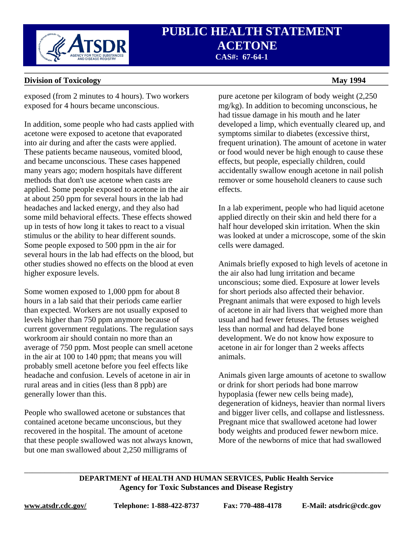

# **Division of Toxicology** May 1994 **May 1994**

exposed (from 2 minutes to 4 hours). Two workers exposed for 4 hours became unconscious.

In addition, some people who had casts applied with acetone were exposed to acetone that evaporated into air during and after the casts were applied. These patients became nauseous, vomited blood, and became unconscious. These cases happened many years ago; modern hospitals have different methods that don't use acetone when casts are applied. Some people exposed to acetone in the air at about 250 ppm for several hours in the lab had headaches and lacked energy, and they also had some mild behavioral effects. These effects showed up in tests of how long it takes to react to a visual stimulus or the ability to hear different sounds. Some people exposed to 500 ppm in the air for several hours in the lab had effects on the blood, but other studies showed no effects on the blood at even higher exposure levels.

Some women exposed to 1,000 ppm for about 8 hours in a lab said that their periods came earlier than expected. Workers are not usually exposed to levels higher than 750 ppm anymore because of current government regulations. The regulation says workroom air should contain no more than an average of 750 ppm. Most people can smell acetone in the air at 100 to 140 ppm; that means you will probably smell acetone before you feel effects like headache and confusion. Levels of acetone in air in rural areas and in cities (less than 8 ppb) are generally lower than this.

People who swallowed acetone or substances that contained acetone became unconscious, but they recovered in the hospital. The amount of acetone that these people swallowed was not always known, but one man swallowed about 2,250 milligrams of

pure acetone per kilogram of body weight (2,250 mg/kg). In addition to becoming unconscious, he had tissue damage in his mouth and he later developed a limp, which eventually cleared up, and symptoms similar to diabetes (excessive thirst, frequent urination). The amount of acetone in water or food would never be high enough to cause these effects, but people, especially children, could accidentally swallow enough acetone in nail polish remover or some household cleaners to cause such effects.

In a lab experiment, people who had liquid acetone applied directly on their skin and held there for a half hour developed skin irritation. When the skin was looked at under a microscope, some of the skin cells were damaged.

Animals briefly exposed to high levels of acetone in the air also had lung irritation and became unconscious; some died. Exposure at lower levels for short periods also affected their behavior. Pregnant animals that were exposed to high levels of acetone in air had livers that weighed more than usual and had fewer fetuses. The fetuses weighed less than normal and had delayed bone development. We do not know how exposure to acetone in air for longer than 2 weeks affects animals.

Animals given large amounts of acetone to swallow or drink for short periods had bone marrow hypoplasia (fewer new cells being made), degeneration of kidneys, heavier than normal livers and bigger liver cells, and collapse and listlessness. Pregnant mice that swallowed acetone had lower body weights and produced fewer newborn mice. More of the newborns of mice that had swallowed

\_\_\_\_\_\_\_\_\_\_\_\_\_\_\_\_\_\_\_\_\_\_\_\_\_\_\_\_\_\_\_\_\_\_\_\_\_\_\_\_\_\_\_\_\_\_\_\_\_\_\_\_\_\_\_\_\_\_\_\_\_\_\_\_\_\_\_\_\_\_\_\_\_\_\_\_\_\_\_\_\_\_\_\_\_\_\_\_\_\_ **DEPARTMENT of HEALTH AND HUMAN SERVICES, Public Health Service Agency for Toxic Substances and Disease Registry** 

www.atsdr.cdc.gov/

**www.atsdr.cdc.gov/ Telephone: 1-888-422-8737 Fax: 770-488-4178 E-Mail: atsdric@cdc.gov**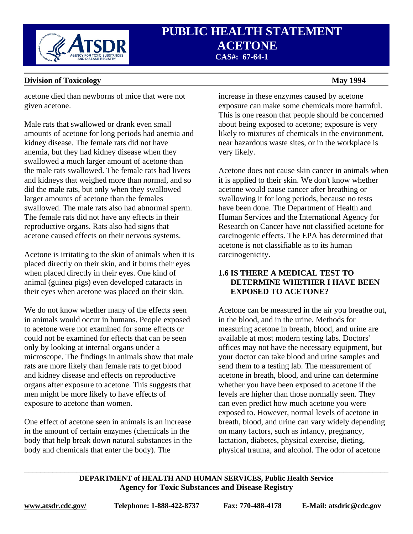

acetone died than newborns of mice that were not given acetone.

Male rats that swallowed or drank even small amounts of acetone for long periods had anemia and kidney disease. The female rats did not have anemia, but they had kidney disease when they swallowed a much larger amount of acetone than the male rats swallowed. The female rats had livers and kidneys that weighed more than normal, and so did the male rats, but only when they swallowed larger amounts of acetone than the females swallowed. The male rats also had abnormal sperm. The female rats did not have any effects in their reproductive organs. Rats also had signs that acetone caused effects on their nervous systems.

Acetone is irritating to the skin of animals when it is placed directly on their skin, and it burns their eyes when placed directly in their eyes. One kind of animal (guinea pigs) even developed cataracts in their eyes when acetone was placed on their skin.

We do not know whether many of the effects seen in animals would occur in humans. People exposed to acetone were not examined for some effects or could not be examined for effects that can be seen only by looking at internal organs under a microscope. The findings in animals show that male rats are more likely than female rats to get blood and kidney disease and effects on reproductive organs after exposure to acetone. This suggests that men might be more likely to have effects of exposure to acetone than women.

One effect of acetone seen in animals is an increase in the amount of certain enzymes (chemicals in the body that help break down natural substances in the body and chemicals that enter the body). The

increase in these enzymes caused by acetone exposure can make some chemicals more harmful. This is one reason that people should be concerned about being exposed to acetone; exposure is very likely to mixtures of chemicals in the environment, near hazardous waste sites, or in the workplace is very likely.

Acetone does not cause skin cancer in animals when it is applied to their skin. We don't know whether acetone would cause cancer after breathing or swallowing it for long periods, because no tests have been done. The Department of Health and Human Services and the International Agency for Research on Cancer have not classified acetone for carcinogenic effects. The EPA has determined that acetone is not classifiable as to its human carcinogenicity.

# **1.6 IS THERE A MEDICAL TEST TO DETERMINE WHETHER I HAVE BEEN EXPOSED TO ACETONE?**

Acetone can be measured in the air you breathe out, in the blood, and in the urine. Methods for measuring acetone in breath, blood, and urine are available at most modern testing labs. Doctors' offices may not have the necessary equipment, but your doctor can take blood and urine samples and send them to a testing lab. The measurement of acetone in breath, blood, and urine can determine whether you have been exposed to acetone if the levels are higher than those normally seen. They can even predict how much acetone you were exposed to. However, normal levels of acetone in breath, blood, and urine can vary widely depending on many factors, such as infancy, pregnancy, lactation, diabetes, physical exercise, dieting, physical trauma, and alcohol. The odor of acetone

**DEPARTMENT of HEALTH AND HUMAN SERVICES, Public Health Service Agency for Toxic Substances and Disease Registry** 

\_\_\_\_\_\_\_\_\_\_\_\_\_\_\_\_\_\_\_\_\_\_\_\_\_\_\_\_\_\_\_\_\_\_\_\_\_\_\_\_\_\_\_\_\_\_\_\_\_\_\_\_\_\_\_\_\_\_\_\_\_\_\_\_\_\_\_\_\_\_\_\_\_\_\_\_\_\_\_\_\_\_\_\_\_\_\_\_\_\_